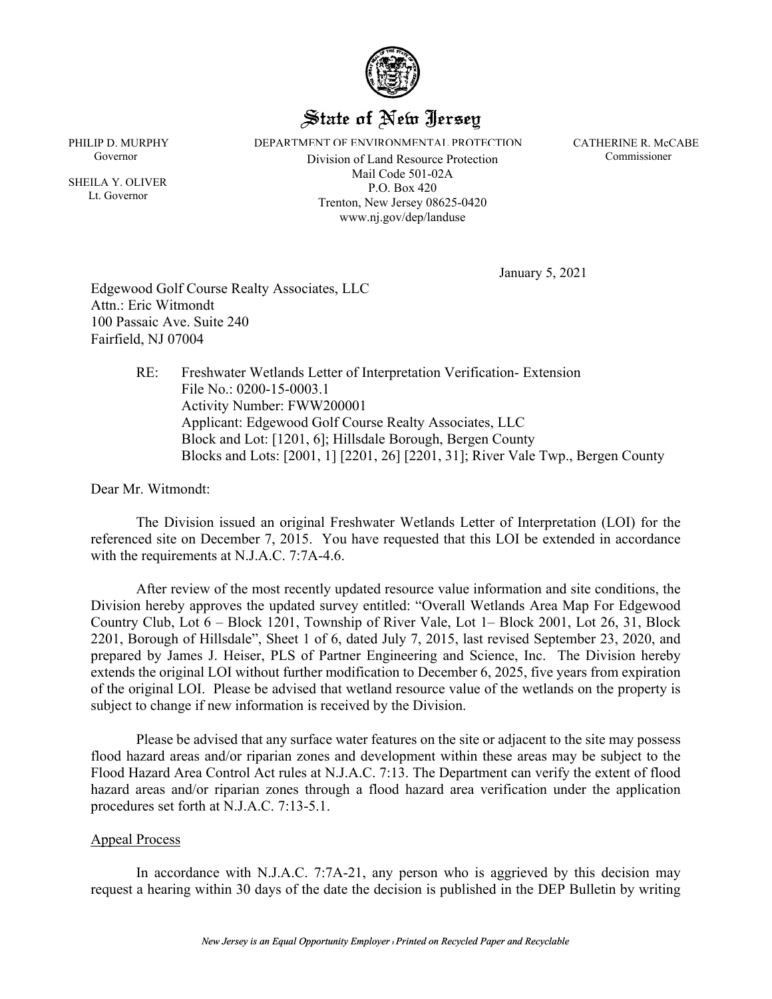

## State of New Jersey

PHILIP D. MURPHY **DEPARTMENT OF ENVIRONMENTAL PROTECTION** CATHERINE R. McCABE

Governor Commissioner Division of Land Resource Protection Commissioner Mail Code 501-02A P.O. Box 420 Trenton, New Jersey 08625-0420 www.nj.gov/dep/landuse

 SHEILA Y. OLIVER Lt. Governor

January 5, 2021

Edgewood Golf Course Realty Associates, LLC Attn.: Eric Witmondt 100 Passaic Ave. Suite 240 Fairfield, NJ 07004

> RE: Freshwater Wetlands Letter of Interpretation Verification- Extension File No.: 0200-15-0003.1 Activity Number: FWW200001 Applicant: Edgewood Golf Course Realty Associates, LLC Block and Lot: [1201, 6]; Hillsdale Borough, Bergen County Blocks and Lots: [2001, 1] [2201, 26] [2201, 31]; River Vale Twp., Bergen County

Dear Mr. Witmondt:

The Division issued an original Freshwater Wetlands Letter of Interpretation (LOI) for the referenced site on December 7, 2015. You have requested that this LOI be extended in accordance with the requirements at N.J.A.C. 7:7A-4.6.

After review of the most recently updated resource value information and site conditions, the Division hereby approves the updated survey entitled: "Overall Wetlands Area Map For Edgewood Country Club, Lot 6 – Block 1201, Township of River Vale, Lot 1– Block 2001, Lot 26, 31, Block 2201, Borough of Hillsdale", Sheet 1 of 6, dated July 7, 2015, last revised September 23, 2020, and prepared by James J. Heiser, PLS of Partner Engineering and Science, Inc. The Division hereby extends the original LOI without further modification to December 6, 2025, five years from expiration of the original LOI. Please be advised that wetland resource value of the wetlands on the property is subject to change if new information is received by the Division.

Please be advised that any surface water features on the site or adjacent to the site may possess flood hazard areas and/or riparian zones and development within these areas may be subject to the Flood Hazard Area Control Act rules at N.J.A.C. 7:13. The Department can verify the extent of flood hazard areas and/or riparian zones through a flood hazard area verification under the application procedures set forth at N.J.A.C. 7:13-5.1.

## Appeal Process

In accordance with N.J.A.C. 7:7A-21, any person who is aggrieved by this decision may request a hearing within 30 days of the date the decision is published in the DEP Bulletin by writing